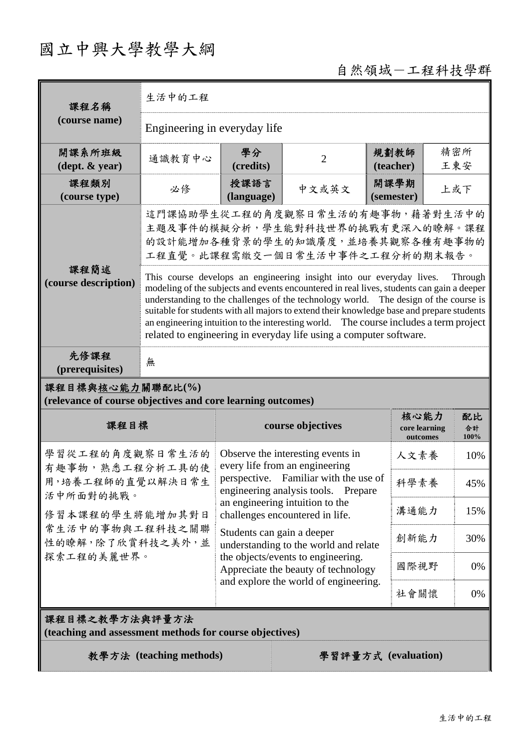## 國立中興大學教學大綱

## 自然領域-工程科技學群

| 課程名稱                                                                            | 生活中的工程                                                                                                                                                                                                                                                                                                                                                                                                                                                                                                                           |                            |                                                                              |                    |                           |            |  |
|---------------------------------------------------------------------------------|----------------------------------------------------------------------------------------------------------------------------------------------------------------------------------------------------------------------------------------------------------------------------------------------------------------------------------------------------------------------------------------------------------------------------------------------------------------------------------------------------------------------------------|----------------------------|------------------------------------------------------------------------------|--------------------|---------------------------|------------|--|
| (course name)                                                                   | Engineering in everyday life                                                                                                                                                                                                                                                                                                                                                                                                                                                                                                     |                            |                                                                              |                    |                           |            |  |
| 開課系所班級<br>$(\text{dept.} \& \text{ year})$                                      | 通識教育中心                                                                                                                                                                                                                                                                                                                                                                                                                                                                                                                           | 學分<br>(credits)            | $\overline{2}$                                                               | 規劃教師<br>(teacher)  |                           | 精密所<br>王東安 |  |
| 課程類別<br>(course type)                                                           | 必修                                                                                                                                                                                                                                                                                                                                                                                                                                                                                                                               | 授課語言<br>(language)         | 中文或英文                                                                        | 開課學期<br>(semester) |                           | 上或下        |  |
|                                                                                 | 這門課協助學生從工程的角度觀察日常生活的有趣事物,藉著對生活中的<br>主題及事件的模擬分析,學生能對科技世界的挑戰有更深入的瞭解。課程<br>的設計能增加各種背景的學生的知識廣度,並培養其觀察各種有趣事物的<br>工程直覺。此課程需繳交一個日常生活中事件之工程分析的期末報告。                                                                                                                                                                                                                                                                                                                                                                                      |                            |                                                                              |                    |                           |            |  |
| 課程簡述<br>(course description)                                                    | This course develops an engineering insight into our everyday lives.<br>Through<br>modeling of the subjects and events encountered in real lives, students can gain a deeper<br>understanding to the challenges of the technology world. The design of the course is<br>suitable for students with all majors to extend their knowledge base and prepare students<br>an engineering intuition to the interesting world. The course includes a term project<br>related to engineering in everyday life using a computer software. |                            |                                                                              |                    |                           |            |  |
| 先修課程<br>(prerequisites)                                                         | 無                                                                                                                                                                                                                                                                                                                                                                                                                                                                                                                                |                            |                                                                              |                    |                           |            |  |
| 課程目標與核心能力關聯配比(%)<br>(relevance of course objectives and core learning outcomes) |                                                                                                                                                                                                                                                                                                                                                                                                                                                                                                                                  |                            |                                                                              |                    |                           |            |  |
| 課程目標                                                                            |                                                                                                                                                                                                                                                                                                                                                                                                                                                                                                                                  | course objectives          |                                                                              |                    | 核心能力                      | 配比         |  |
| 學習從工程的角度觀察日常生活的<br>有趣事物,熟悉工程分析工具的使                                              |                                                                                                                                                                                                                                                                                                                                                                                                                                                                                                                                  |                            |                                                                              |                    | core learning<br>outcomes | 合計<br>100% |  |
|                                                                                 |                                                                                                                                                                                                                                                                                                                                                                                                                                                                                                                                  |                            | Observe the interesting events in<br>every life from an engineering          |                    | 人文素養                      | 10%        |  |
| 用,培養工程師的直覺以解決日常生                                                                |                                                                                                                                                                                                                                                                                                                                                                                                                                                                                                                                  |                            | perspective. Familiar with the use of<br>engineering analysis tools. Prepare |                    | 科學素養                      | 45%        |  |
| 活中所面對的挑戰。<br>修習本課程的學生將能增加其對日                                                    |                                                                                                                                                                                                                                                                                                                                                                                                                                                                                                                                  |                            | an engineering intuition to the<br>challenges encountered in life.           |                    | 溝通能力                      | 15%        |  |
| 常生活中的事物與工程科技之關聯<br>性的瞭解,除了欣賞科技之美外,並                                             |                                                                                                                                                                                                                                                                                                                                                                                                                                                                                                                                  | Students can gain a deeper | understanding to the world and relate                                        |                    | 創新能力                      | 30%        |  |
| 探索工程的美麗世界。                                                                      |                                                                                                                                                                                                                                                                                                                                                                                                                                                                                                                                  |                            | the objects/events to engineering.<br>Appreciate the beauty of technology    |                    | 國際視野                      | 0%         |  |
|                                                                                 |                                                                                                                                                                                                                                                                                                                                                                                                                                                                                                                                  |                            | and explore the world of engineering.                                        |                    | 社會關懷                      | 0%         |  |
| 課程目標之教學方法與評量方法<br>(teaching and assessment methods for course objectives)       |                                                                                                                                                                                                                                                                                                                                                                                                                                                                                                                                  |                            |                                                                              |                    |                           |            |  |
|                                                                                 | 教學方法 (teaching methods)                                                                                                                                                                                                                                                                                                                                                                                                                                                                                                          |                            | 學習評量方式 (evaluation)                                                          |                    |                           |            |  |